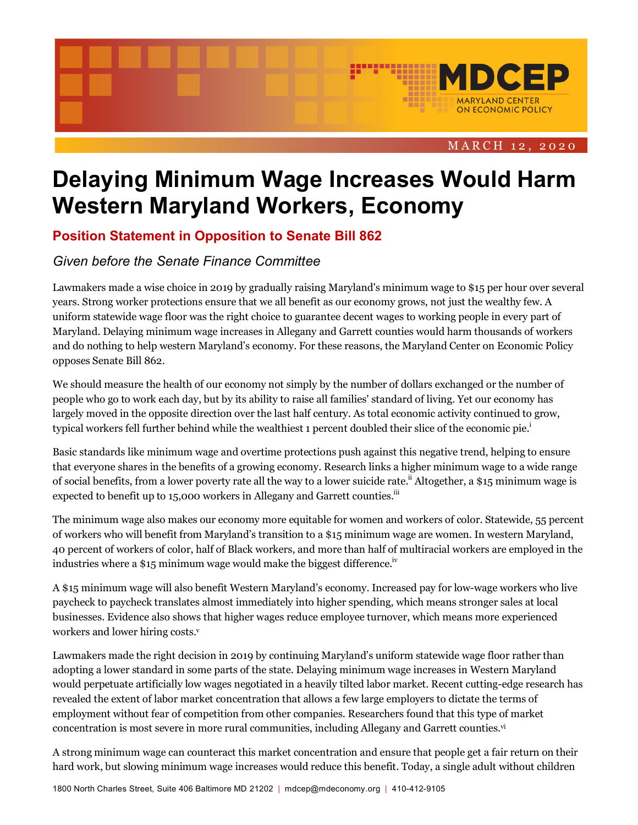

# **Delaying Minimum Wage Increases Would Harm Western Maryland Workers, Economy**

# **Position Statement in Opposition to Senate Bill 862**

## *Given before the Senate Finance Committee*

Lawmakers made a wise choice in 2019 by gradually raising Maryland's minimum wage to \$15 per hour over several years. Strong worker protections ensure that we all benefit as our economy grows, not just the wealthy few. A uniform statewide wage floor was the right choice to guarantee decent wages to working people in every part of Maryland. Delaying minimum wage increases in Allegany and Garrett counties would harm thousands of workers and do nothing to help western Maryland's economy. For these reasons, the Maryland Center on Economic Policy opposes Senate Bill 862.

We should measure the health of our economy not simply by the number of dollars exchanged or the number of people who go to work each day, but by its ability to raise all families' standard of living. Yet our economy has largely moved in the opposite direction over the last half century. As total economic activity continued to grow, typical workers fell further behind while the wealthiest 1 percent doubled their slice of the economic pie.<sup>1</sup>

Basic standards like minimum wage and overtime protections push against this negative trend, helping to ensure that everyone shares in the benefits of a growing economy. Research links a higher minimum wage to a wide range of social benefits, from a lower poverty rate all the way to a lower suicide rate.<sup>ii</sup> Altogether, a \$15 minimum wage is expected to benefit up to 15,000 workers in Allegany and Garrett counties.<sup>iii</sup>

The minimum wage also makes our economy more equitable for women and workers of color. Statewide, 55 percent of workers who will benefit from Maryland's transition to a \$15 minimum wage are women. In western Maryland, 40 percent of workers of color, half of Black workers, and more than half of multiracial workers are employed in the industries where a \$15 minimum wage would make the biggest difference.<sup>iv</sup>

A \$15 minimum wage will also benefit Western Maryland's economy. Increased pay for low-wage workers who live paycheck to paycheck translates almost immediately into higher spending, which means stronger sales at local businesses. Evidence also shows that higher wages reduce employee turnover, which means more experienced workers and lower hiring costs.<sup>v</sup>

Lawmakers made the right decision in 2019 by continuing Maryland's uniform statewide wage floor rather than adopting a lower standard in some parts of the state. Delaying minimum wage increases in Western Maryland would perpetuate artificially low wages negotiated in a heavily tilted labor market. Recent cutting-edge research has revealed the extent of labor market concentration that allows a few large employers to dictate the terms of employment without fear of competition from other companies. Researchers found that this type of market concentration is most severe in more rural communities, including Allegany and Garrett counties.vi

A strong minimum wage can counteract this market concentration and ensure that people get a fair return on their hard work, but slowing minimum wage increases would reduce this benefit. Today, a single adult without children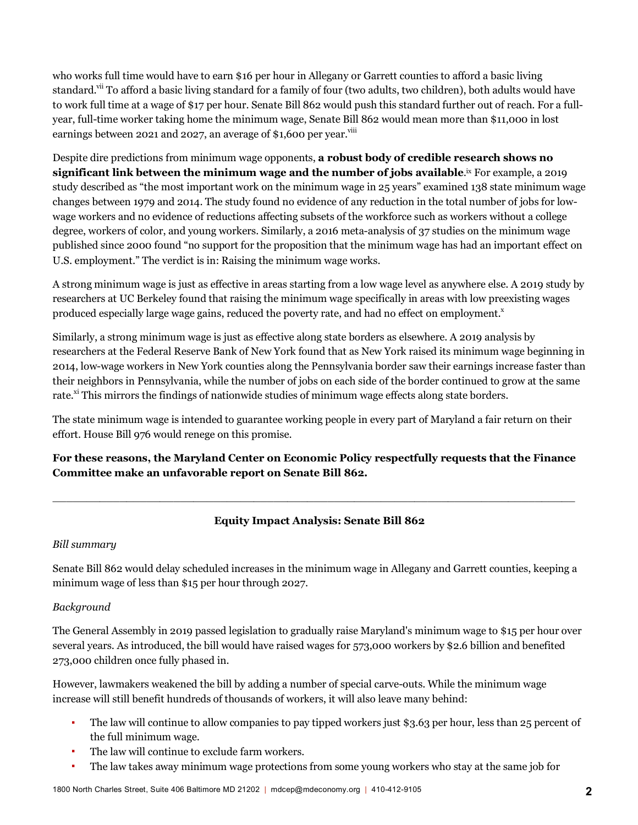who works full time would have to earn \$16 per hour in Allegany or Garrett counties to afford a basic living standard.<sup>vii</sup> To afford a basic living standard for a family of four (two adults, two children), both adults would have to work full time at a wage of \$17 per hour. Senate Bill 862 would push this standard further out of reach. For a fullyear, full-time worker taking home the minimum wage, Senate Bill 862 would mean more than \$11,000 in lost earnings between 2021 and 2027, an average of \$1,600 per year.<sup>viii</sup>

Despite dire predictions from minimum wage opponents, **a robust body of credible research shows no significant link between the minimum wage and the number of jobs available.¤ For example, a 2019** study described as "the most important work on the minimum wage in 25 years" examined 138 state minimum wage changes between 1979 and 2014. The study found no evidence of any reduction in the total number of jobs for lowwage workers and no evidence of reductions affecting subsets of the workforce such as workers without a college degree, workers of color, and young workers. Similarly, a 2016 meta-analysis of 37 studies on the minimum wage published since 2000 found "no support for the proposition that the minimum wage has had an important effect on U.S. employment." The verdict is in: Raising the minimum wage works.

A strong minimum wage is just as effective in areas starting from a low wage level as anywhere else. A 2019 study by researchers at UC Berkeley found that raising the minimum wage specifically in areas with low preexisting wages produced especially large wage gains, reduced the poverty rate, and had no effect on employment.<sup>x</sup>

Similarly, a strong minimum wage is just as effective along state borders as elsewhere. A 2019 analysis by researchers at the Federal Reserve Bank of New York found that as New York raised its minimum wage beginning in 2014, low-wage workers in New York counties along the Pennsylvania border saw their earnings increase faster than their neighbors in Pennsylvania, while the number of jobs on each side of the border continued to grow at the same rate.<sup>xi</sup> This mirrors the findings of nationwide studies of minimum wage effects along state borders.

The state minimum wage is intended to guarantee working people in every part of Maryland a fair return on their effort. House Bill 976 would renege on this promise.

## **For these reasons, the Maryland Center on Economic Policy respectfully requests that the Finance Committee make an unfavorable report on Senate Bill 862.**

 $\_$  . The contribution of the contribution of the contribution of the contribution of the contribution of the contribution of the contribution of the contribution of the contribution of the contribution of the contributio

### **Equity Impact Analysis: Senate Bill 862**

### *Bill summary*

Senate Bill 862 would delay scheduled increases in the minimum wage in Allegany and Garrett counties, keeping a minimum wage of less than \$15 per hour through 2027.

### *Background*

The General Assembly in 2019 passed legislation to gradually raise Maryland's minimum wage to \$15 per hour over several years. As introduced, the bill would have raised wages for 573,000 workers by \$2.6 billion and benefited 273,000 children once fully phased in.

However, lawmakers weakened the bill by adding a number of special carve-outs. While the minimum wage increase will still benefit hundreds of thousands of workers, it will also leave many behind:

- § The law will continue to allow companies to pay tipped workers just \$3.63 per hour, less than 25 percent of the full minimum wage.
- The law will continue to exclude farm workers.
- § The law takes away minimum wage protections from some young workers who stay at the same job for